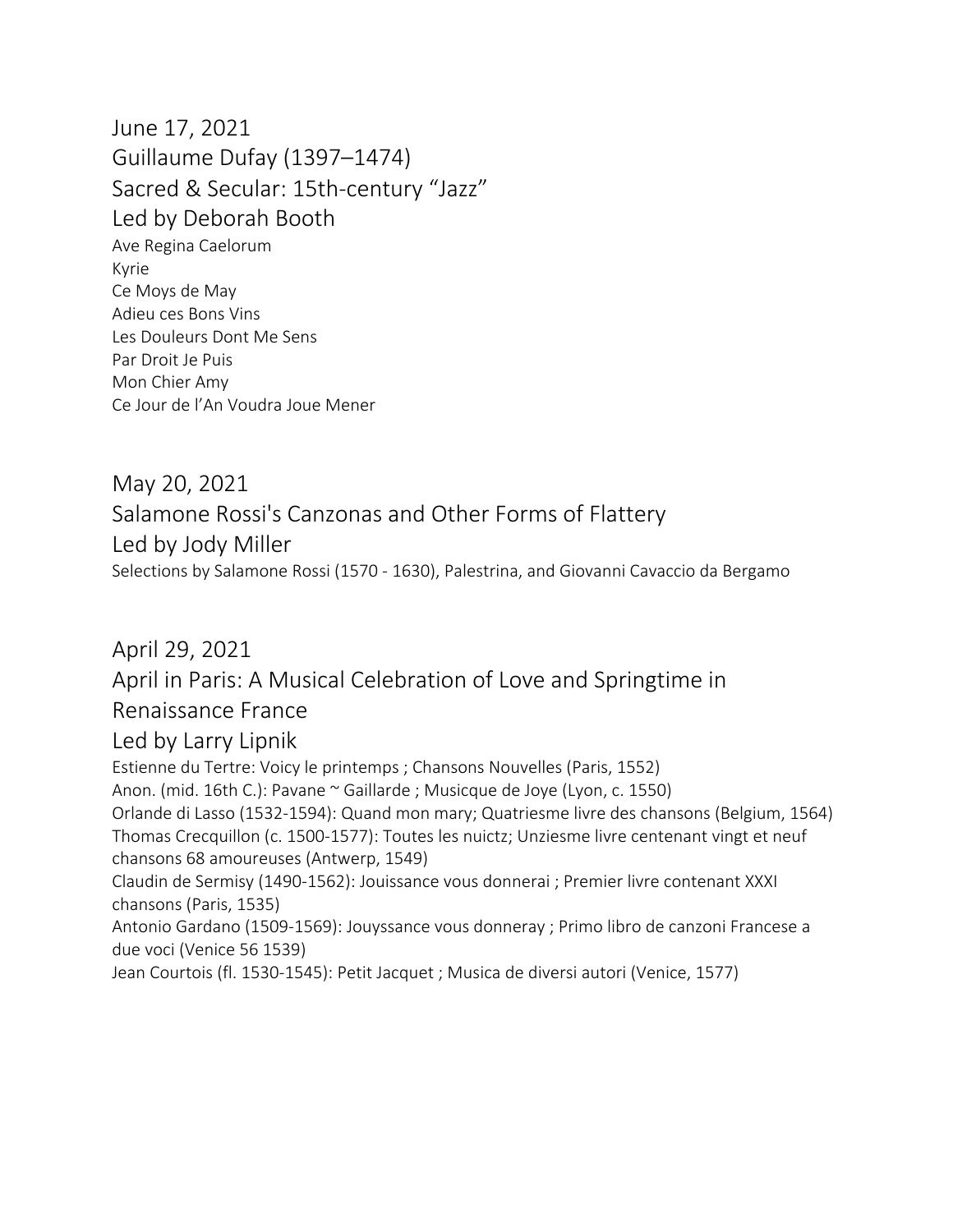June 17, 2021 Guillaume Dufay (1397–1474) Sacred & Secular: 15th-century "Jazz" Led by Deborah Booth Ave Regina Caelorum Kyrie Ce Moys de May Adieu ces Bons Vins Les Douleurs Dont Me Sens Par Droit Je Puis Mon Chier Amy Ce Jour de l'An Voudra Joue Mener

May 20, 2021 Salamone Rossi's Canzonas and Other Forms of Flattery Led by Jody Miller Selections by Salamone Rossi (1570 - 1630), Palestrina, and Giovanni Cavaccio da Bergamo

April 29, 2021 April in Paris: A Musical Celebration of Love and Springtime in Renaissance France Led by Larry Lipnik Estienne du Tertre: Voicy le printemps ; Chansons Nouvelles (Paris, 1552) Anon. (mid. 16th C.): Pavane ~ Gaillarde ; Musicque de Joye (Lyon, c. 1550) Orlande di Lasso (1532-1594): Quand mon mary; Quatriesme livre des chansons (Belgium, 1564) Thomas Crecquillon (c. 1500-1577): Toutes les nuictz; Unziesme livre centenant vingt et neuf chansons 68 amoureuses (Antwerp, 1549) Claudin de Sermisy (1490-1562): Jouissance vous donnerai ; Premier livre contenant XXXI chansons (Paris, 1535) Antonio Gardano (1509-1569): Jouyssance vous donneray ; Primo libro de canzoni Francese a due voci (Venice 56 1539) Jean Courtois (fl. 1530-1545): Petit Jacquet ; Musica de diversi autori (Venice, 1577)